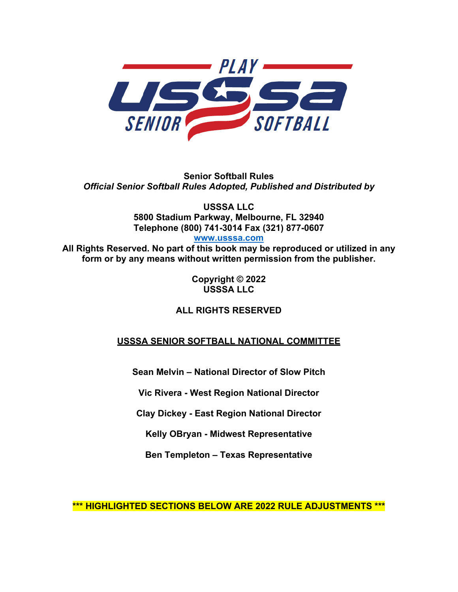

**Senior Softball Rules** *Official Senior Softball Rules Adopted, Published and Distributed by*

> **USSSA LLC 5800 Stadium Parkway, Melbourne, FL 32940 Telephone (800) 741-3014 Fax (321) 877-0607**

**www.usssa.com**

**All Rights Reserved. No part of this book may be reproduced or utilized in any form or by any means without written permission from the publisher.**

> **Copyright © 2022 USSSA LLC**

## **ALL RIGHTS RESERVED**

## **USSSA SENIOR SOFTBALL NATIONAL COMMITTEE**

**Sean Melvin – National Director of Slow Pitch**

**Vic Rivera - West Region National Director**

**Clay Dickey - East Region National Director**

**Kelly OBryan - Midwest Representative**

**Ben Templeton – Texas Representative**

**\*\*\* HIGHLIGHTED SECTIONS BELOW ARE 2022 RULE ADJUSTMENTS \*\*\***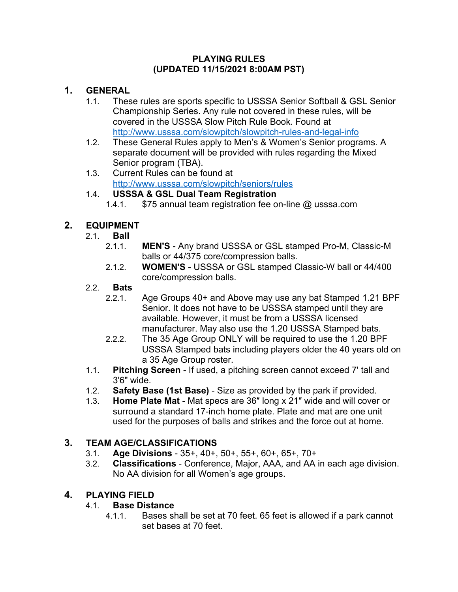#### **PLAYING RULES (UPDATED 11/15/2021 8:00AM PST)**

## **1. GENERAL**

- 1.1. These rules are sports specific to USSSA Senior Softball & GSL Senior Championship Series. Any rule not covered in these rules, will be covered in the USSSA Slow Pitch Rule Book. Found at http://www.usssa.com/slowpitch/slowpitch-rules-and-legal-info
- 1.2. These General Rules apply to Men's & Women's Senior programs. A separate document will be provided with rules regarding the Mixed Senior program (TBA).
- 1.3. Current Rules can be found at http://www.usssa.com/slowpitch/seniors/rules

# 1.4. **USSSA & GSL Dual Team Registration**

1.4.1. \$75 annual team registration fee on-line @ usssa.com

# **2. EQUIPMENT**

- 2.1. **Ball**
	- 2.1.1. **MEN'S** Any brand USSSA or GSL stamped Pro-M, Classic-M balls or 44/375 core/compression balls.
	- 2.1.2. **WOMEN'S** USSSA or GSL stamped Classic-W ball or 44/400 core/compression balls.

### 2.2. **Bats**

- 2.2.1. Age Groups 40+ and Above may use any bat Stamped 1.21 BPF Senior. It does not have to be USSSA stamped until they are available. However, it must be from a USSSA licensed manufacturer. May also use the 1.20 USSSA Stamped bats.
- 2.2.2. The 35 Age Group ONLY will be required to use the 1.20 BPF USSSA Stamped bats including players older the 40 years old on a 35 Age Group roster.
- 1.1. **Pitching Screen**  If used, a pitching screen cannot exceed 7' tall and 3'6" wide.
- 1.2. **Safety Base (1st Base)**  Size as provided by the park if provided.
- 1.3. **Home Plate Mat**  Mat specs are 36″ long x 21″ wide and will cover or surround a standard 17-inch home plate. Plate and mat are one unit used for the purposes of balls and strikes and the force out at home.

# **3. TEAM AGE/CLASSIFICATIONS**

- 3.1. **Age Divisions** 35+, 40+, 50+, 55+, 60+, 65+, 70+
- 3.2. **Classifications** Conference, Major, AAA, and AA in each age division. No AA division for all Women's age groups.

# **4. PLAYING FIELD**

## 4.1. **Base Distance**

4.1.1. Bases shall be set at 70 feet. 65 feet is allowed if a park cannot set bases at 70 feet.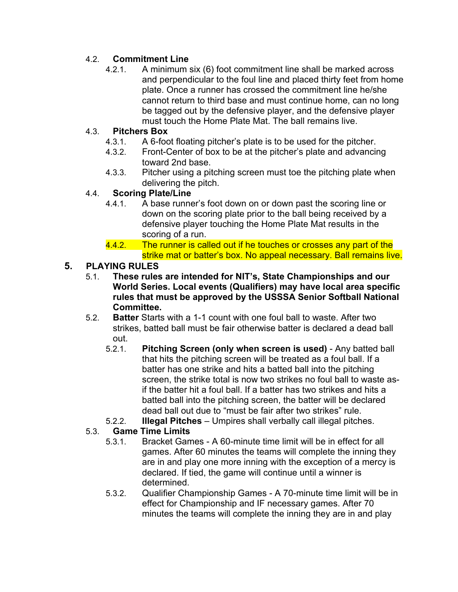## 4.2. **Commitment Line**

4.2.1. A minimum six (6) foot commitment line shall be marked across and perpendicular to the foul line and placed thirty feet from home plate. Once a runner has crossed the commitment line he/she cannot return to third base and must continue home, can no long be tagged out by the defensive player, and the defensive player must touch the Home Plate Mat. The ball remains live.

### 4.3. **Pitchers Box**

- 4.3.1. A 6-foot floating pitcher's plate is to be used for the pitcher.
- 4.3.2. Front-Center of box to be at the pitcher's plate and advancing toward 2nd base.
- 4.3.3. Pitcher using a pitching screen must toe the pitching plate when delivering the pitch.

### 4.4. **Scoring Plate/Line**

- 4.4.1. A base runner's foot down on or down past the scoring line or down on the scoring plate prior to the ball being received by a defensive player touching the Home Plate Mat results in the scoring of a run.
- 4.4.2. The runner is called out if he touches or crosses any part of the strike mat or batter's box. No appeal necessary. Ball remains live.

### **5. PLAYING RULES**

- 5.1. **These rules are intended for NIT's, State Championships and our World Series. Local events (Qualifiers) may have local area specific rules that must be approved by the USSSA Senior Softball National Committee.**
- 5.2. **Batter** Starts with a 1-1 count with one foul ball to waste. After two strikes, batted ball must be fair otherwise batter is declared a dead ball out.
	- 5.2.1. **Pitching Screen (only when screen is used)** Any batted ball that hits the pitching screen will be treated as a foul ball. If a batter has one strike and hits a batted ball into the pitching screen, the strike total is now two strikes no foul ball to waste asif the batter hit a foul ball. If a batter has two strikes and hits a batted ball into the pitching screen, the batter will be declared dead ball out due to "must be fair after two strikes" rule.
	- 5.2.2. **Illegal Pitches** Umpires shall verbally call illegal pitches.

#### 5.3. **Game Time Limits**

- 5.3.1. Bracket Games A 60-minute time limit will be in effect for all games. After 60 minutes the teams will complete the inning they are in and play one more inning with the exception of a mercy is declared. If tied, the game will continue until a winner is determined.
- 5.3.2. Qualifier Championship Games A 70-minute time limit will be in effect for Championship and IF necessary games. After 70 minutes the teams will complete the inning they are in and play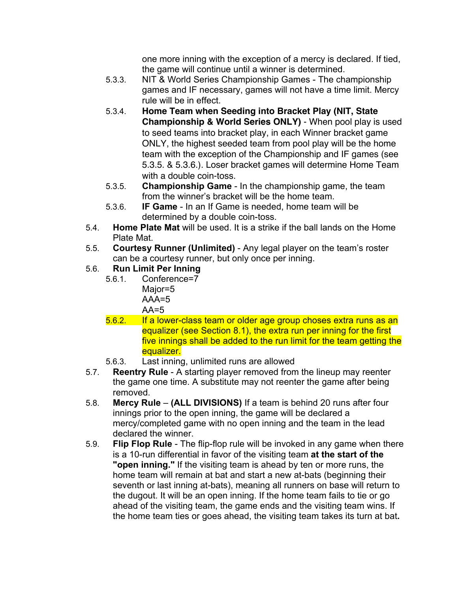one more inning with the exception of a mercy is declared. If tied, the game will continue until a winner is determined.

- 5.3.3. NIT & World Series Championship Games The championship games and IF necessary, games will not have a time limit. Mercy rule will be in effect.
- 5.3.4. **Home Team when Seeding into Bracket Play (NIT, State Championship & World Series ONLY)** - When pool play is used to seed teams into bracket play, in each Winner bracket game ONLY, the highest seeded team from pool play will be the home team with the exception of the Championship and IF games (see 5.3.5. & 5.3.6.). Loser bracket games will determine Home Team with a double coin-toss.
- 5.3.5. **Championship Game**  In the championship game, the team from the winner's bracket will be the home team.
- 5.3.6. **IF Game**  In an If Game is needed, home team will be determined by a double coin-toss.
- 5.4. **Home Plate Mat** will be used. It is a strike if the ball lands on the Home Plate Mat.
- 5.5. **Courtesy Runner (Unlimited)**  Any legal player on the team's roster can be a courtesy runner, but only once per inning.

# 5.6. **Run Limit Per Inning**

- 5.6.1. Conference=7 Major=5  $AA = 5$ 
	- $AA=5$
- 5.6.2. If a lower-class team or older age group choses extra runs as an equalizer (see Section 8.1), the extra run per inning for the first five innings shall be added to the run limit for the team getting the equalizer.
- 5.6.3. Last inning, unlimited runs are allowed
- 5.7. **Reentry Rule**  A starting player removed from the lineup may reenter the game one time. A substitute may not reenter the game after being removed.
- 5.8. **Mercy Rule (ALL DIVISIONS)** If a team is behind 20 runs after four innings prior to the open inning, the game will be declared a mercy/completed game with no open inning and the team in the lead declared the winner.
- 5.9. **Flip Flop Rule**  The flip-flop rule will be invoked in any game when there is a 10-run differential in favor of the visiting team **at the start of the "open inning."** If the visiting team is ahead by ten or more runs, the home team will remain at bat and start a new at-bats (beginning their seventh or last inning at-bats), meaning all runners on base will return to the dugout. It will be an open inning. If the home team fails to tie or go ahead of the visiting team, the game ends and the visiting team wins. If the home team ties or goes ahead, the visiting team takes its turn at bat**.**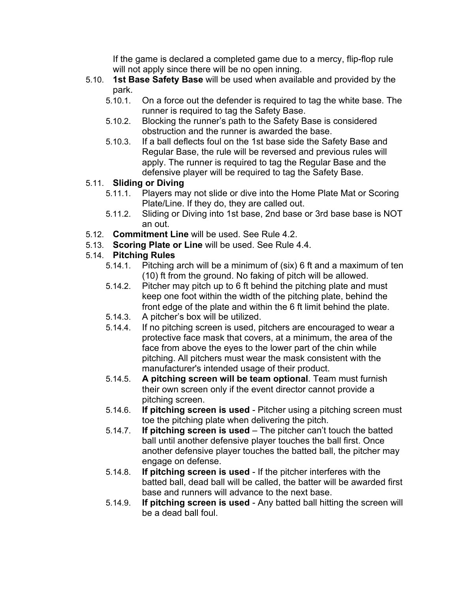If the game is declared a completed game due to a mercy, flip-flop rule will not apply since there will be no open inning.

- 5.10. **1st Base Safety Base** will be used when available and provided by the park.
	- 5.10.1. On a force out the defender is required to tag the white base. The runner is required to tag the Safety Base.
	- 5.10.2. Blocking the runner's path to the Safety Base is considered obstruction and the runner is awarded the base.
	- 5.10.3. If a ball deflects foul on the 1st base side the Safety Base and Regular Base, the rule will be reversed and previous rules will apply. The runner is required to tag the Regular Base and the defensive player will be required to tag the Safety Base.

## 5.11. **Sliding or Diving**

- 5.11.1. Players may not slide or dive into the Home Plate Mat or Scoring Plate/Line. If they do, they are called out.
- 5.11.2. Sliding or Diving into 1st base, 2nd base or 3rd base base is NOT an out.
- 5.12. **Commitment Line** will be used. See Rule 4.2.
- 5.13. **Scoring Plate or Line** will be used. See Rule 4.4.

# 5.14. **Pitching Rules**

- 5.14.1. Pitching arch will be a minimum of (six) 6 ft and a maximum of ten (10) ft from the ground. No faking of pitch will be allowed.
- 5.14.2. Pitcher may pitch up to 6 ft behind the pitching plate and must keep one foot within the width of the pitching plate, behind the front edge of the plate and within the 6 ft limit behind the plate.
- 5.14.3. A pitcher's box will be utilized.
- 5.14.4. If no pitching screen is used, pitchers are encouraged to wear a protective face mask that covers, at a minimum, the area of the face from above the eyes to the lower part of the chin while pitching. All pitchers must wear the mask consistent with the manufacturer's intended usage of their product.
- 5.14.5. **A pitching screen will be team optional**. Team must furnish their own screen only if the event director cannot provide a pitching screen.
- 5.14.6. **If pitching screen is used** Pitcher using a pitching screen must toe the pitching plate when delivering the pitch.
- 5.14.7. **If pitching screen is used** The pitcher can't touch the batted ball until another defensive player touches the ball first. Once another defensive player touches the batted ball, the pitcher may engage on defense.
- 5.14.8. **If pitching screen is used** If the pitcher interferes with the batted ball, dead ball will be called, the batter will be awarded first base and runners will advance to the next base.
- 5.14.9. **If pitching screen is used** Any batted ball hitting the screen will be a dead ball foul.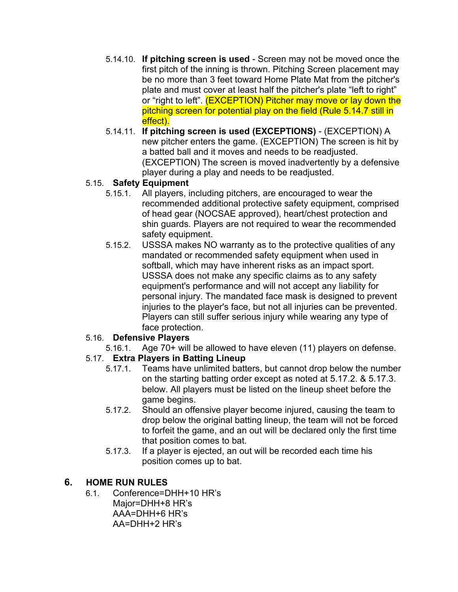- 5.14.10. **If pitching screen is used** Screen may not be moved once the first pitch of the inning is thrown. Pitching Screen placement may be no more than 3 feet toward Home Plate Mat from the pitcher's plate and must cover at least half the pitcher's plate "left to right" or "right to left". (EXCEPTION) Pitcher may move or lay down the pitching screen for potential play on the field (Rule 5.14.7 still in effect).
- 5.14.11. **If pitching screen is used (EXCEPTIONS)** (EXCEPTION) A new pitcher enters the game. (EXCEPTION) The screen is hit by a batted ball and it moves and needs to be readjusted. (EXCEPTION) The screen is moved inadvertently by a defensive player during a play and needs to be readjusted.

## 5.15. **Safety Equipment**

- 5.15.1. All players, including pitchers, are encouraged to wear the recommended additional protective safety equipment, comprised of head gear (NOCSAE approved), heart/chest protection and shin guards. Players are not required to wear the recommended safety equipment.
- 5.15.2. USSSA makes NO warranty as to the protective qualities of any mandated or recommended safety equipment when used in softball, which may have inherent risks as an impact sport. USSSA does not make any specific claims as to any safety equipment's performance and will not accept any liability for personal injury. The mandated face mask is designed to prevent injuries to the player's face, but not all injuries can be prevented. Players can still suffer serious injury while wearing any type of face protection.

#### 5.16. **Defensive Players**

5.16.1. Age 70+ will be allowed to have eleven (11) players on defense.

## 5.17. **Extra Players in Batting Lineup**

- 5.17.1. Teams have unlimited batters, but cannot drop below the number on the starting batting order except as noted at 5.17.2. & 5.17.3. below. All players must be listed on the lineup sheet before the game begins.
- 5.17.2. Should an offensive player become injured, causing the team to drop below the original batting lineup, the team will not be forced to forfeit the game, and an out will be declared only the first time that position comes to bat.
- 5.17.3. If a player is ejected, an out will be recorded each time his position comes up to bat.

#### **6. HOME RUN RULES**

- 6.1. Conference=DHH+10 HR's
	- Major=DHH+8 HR's AAA=DHH+6 HR's AA=DHH+2 HR's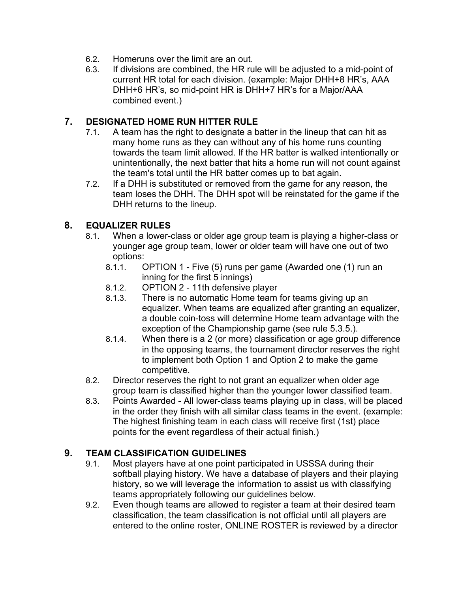- 6.2. Homeruns over the limit are an out.
- 6.3. If divisions are combined, the HR rule will be adjusted to a mid-point of current HR total for each division. (example: Major DHH+8 HR's, AAA DHH+6 HR's, so mid-point HR is DHH+7 HR's for a Major/AAA combined event.)

### **7. DESIGNATED HOME RUN HITTER RULE**

- 7.1. A team has the right to designate a batter in the lineup that can hit as many home runs as they can without any of his home runs counting towards the team limit allowed. If the HR batter is walked intentionally or unintentionally, the next batter that hits a home run will not count against the team's total until the HR batter comes up to bat again.
- 7.2. If a DHH is substituted or removed from the game for any reason, the team loses the DHH. The DHH spot will be reinstated for the game if the DHH returns to the lineup.

### **8. EQUALIZER RULES**

- 8.1. When a lower-class or older age group team is playing a higher-class or younger age group team, lower or older team will have one out of two options:
	- 8.1.1. OPTION 1 Five (5) runs per game (Awarded one (1) run an inning for the first 5 innings)
	- 8.1.2. OPTION 2 11th defensive player
	- 8.1.3. There is no automatic Home team for teams giving up an equalizer. When teams are equalized after granting an equalizer, a double coin-toss will determine Home team advantage with the exception of the Championship game (see rule 5.3.5.).
	- 8.1.4. When there is a 2 (or more) classification or age group difference in the opposing teams, the tournament director reserves the right to implement both Option 1 and Option 2 to make the game competitive.
- 8.2. Director reserves the right to not grant an equalizer when older age group team is classified higher than the younger lower classified team.
- 8.3. Points Awarded All lower-class teams playing up in class, will be placed in the order they finish with all similar class teams in the event. (example: The highest finishing team in each class will receive first (1st) place points for the event regardless of their actual finish.)

## **9. TEAM CLASSIFICATION GUIDELINES**

- 9.1. Most players have at one point participated in USSSA during their softball playing history. We have a database of players and their playing history, so we will leverage the information to assist us with classifying teams appropriately following our guidelines below.
- 9.2. Even though teams are allowed to register a team at their desired team classification, the team classification is not official until all players are entered to the online roster, ONLINE ROSTER is reviewed by a director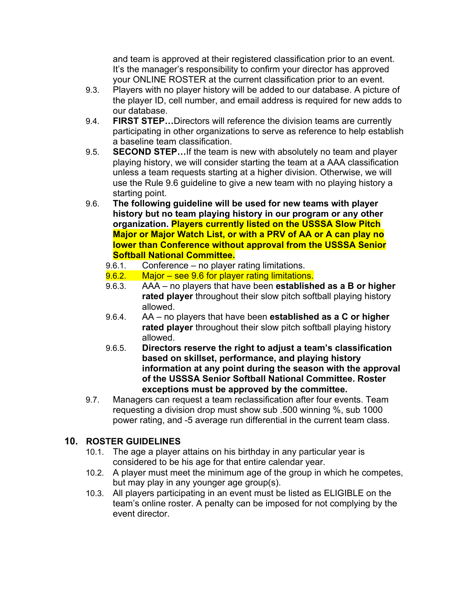and team is approved at their registered classification prior to an event. It's the manager's responsibility to confirm your director has approved your ONLINE ROSTER at the current classification prior to an event.

- 9.3. Players with no player history will be added to our database. A picture of the player ID, cell number, and email address is required for new adds to our database.
- 9.4. **FIRST STEP…**Directors will reference the division teams are currently participating in other organizations to serve as reference to help establish a baseline team classification.
- 9.5. **SECOND STEP…**If the team is new with absolutely no team and player playing history, we will consider starting the team at a AAA classification unless a team requests starting at a higher division. Otherwise, we will use the Rule 9.6 guideline to give a new team with no playing history a starting point.
- 9.6. **The following guideline will be used for new teams with player history but no team playing history in our program or any other organization. Players currently listed on the USSSA Slow Pitch Major or Major Watch List, or with a PRV of AA or A can play no lower than Conference without approval from the USSSA Senior Softball National Committee.**
	- 9.6.1. Conference no player rating limitations.
	- 9.6.2. Major see 9.6 for player rating limitations.
	- 9.6.3. AAA no players that have been **established as a B or higher rated player** throughout their slow pitch softball playing history allowed.
	- 9.6.4. AA no players that have been **established as a C or higher rated player** throughout their slow pitch softball playing history allowed.
	- 9.6.5. **Directors reserve the right to adjust a team's classification based on skillset, performance, and playing history information at any point during the season with the approval of the USSSA Senior Softball National Committee. Roster exceptions must be approved by the committee.**
- 9.7. Managers can request a team reclassification after four events. Team requesting a division drop must show sub .500 winning %, sub 1000 power rating, and -5 average run differential in the current team class.

## **10. ROSTER GUIDELINES**

- 10.1. The age a player attains on his birthday in any particular year is considered to be his age for that entire calendar year.
- 10.2. A player must meet the minimum age of the group in which he competes, but may play in any younger age group(s).
- 10.3. All players participating in an event must be listed as ELIGIBLE on the team's online roster. A penalty can be imposed for not complying by the event director.